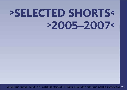# **>SELECTED SHORTS<>2005–2007<**

excerpt from "Slovak Films 05 - 07", published by Slovak Film Institute in April 2007, full version available at www.aic.sk >43<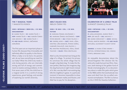

**THE 7 MAGICAL YEARS**7 MAGICKÝCH ROKOV

## **2005 ›‹ betacam ›‹ b&w+col. ›‹ 52 min. documentary**

D: MAREK ŠULÍK <mark>>< SC:</mark> MAREK ŠULÍK <mark>></mark>< **dop:** marek šulík <mark>>< mu:</mark> marián čurko AND ARCHIVE >< **ED:** MAREK ŠULÍK >< pc and sales: návrat, občianskezdruženie

The first years are an important phase in human life, because they irrevocably and definitely affect its quality in the future.When a baby is to be born, his parents ask: do we have everything we need forour baby? What the child truly needs isonly loving parents, who are internally strong and full of energy and commitment to resolve coming problems. In the first seven years of life, the child lives in <sup>a</sup> magical world. It is a world of strong experiences, great feelings, and wonderof exploring our world's diversity.



# **ABEL'S BLACK DOG**ÁBELOV ČIERNY PES

#### **2006 ›‹ 35 mm ›‹ col. ›‹ 30 min. fiction**

 d: mariana čengel-solčanská ›‹ SC: MARIANA ČENGEL-SOLČANSKÁ <mark>>< DOP</mark>: peter bencsík ›‹ mu: stano palúch ›‹ **ED:** ONDREJ AZOR >< **CAST:** PAVEL LIŠKA, kristína liška-boková, štefan kožka,ľubomír paulovič, ivan palúch ›‹ pc: kristína pružincová, všmu, českáTELEVIZE <mark>>< **SALES:** v</mark>ŠMU BRATISLAVA

Abel is a shy introverted man living at the edge of a village. To protect his privacy he convinces the whole village that he bought a big black dog. To make the illusion perfect, Abel buys the imaginary dog the dog food and at night howls instead of it. But, one day Abel's non-existing dog kills the neighbour's geese. In a particularmoment it becomes impossible to draw the line between reality and illusion, andAbel has to pay for his deception..



# **CELEBRATION OF A LONELY PALM**SLÁVNOSŤ OSAMELEJ PALMY

#### **2005 ›‹ betacam ›‹ col. ›‹ 39 min. documentary**

 d: juraj johanides, marko škop ›‹ dop: ján melíš ›‹ mu: archive ›‹ ED: MAREK KRÁĽOVSKÝ >< <mark>ANIM:</mark> MICHAL struss, martin snopek ›‹ pc and sales:artileria, slovenský filmový ústav

awards: le mura d'oro award –festival internationale del cinemad'arte, bergamo 2006

An enjoyable documentary about the almost-forgotten film director Elo Havetta who made but just two films. However, both belong to the golden fund ofSlovak cinematography. It is a documentary about a noble film palm which grew in the 1960s within the Czechoslovak new wave and died from the so-called communist normalisation. The film is a bonuson the 2 DVD Elo Havetta Collection.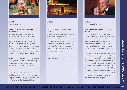

# **CHEERS!**NAZDRAVÍČKO!

## **2005 ›‹ 35 mm ›‹ col. ›‹ 20 min. animation**

 d: ivana zajacová, jozef mitaľ ›‹ SC: IVANA ZAJACOVÁ <mark>>< DOP:</mark> JÚLIUS liebenberger, peter kelíšek ›‹ mu:MILAN RUSKO <mark>>< ED:</mark> MAREK KRÁĽOVSKÝ <mark>></mark>< anim: jozef mitaľ, ivana zajacová, štefan gura, rené zálešák >< **pc:** všmu, štúdio koliba, koliba production & services, peter veverka, michal struss,DAVID ROSENBAUM <mark>>< **SALES:** VŠ</mark>MU

 $\,$  AWARDS: BEST ANIMATION –  $_{\eta}$ THE SUN IN  $\mathtt{NET}^{\prime\prime}$   $\lceil$ slovak national film award $\rceil$  >< igric 2006 for best animation ›‹  $2^{\mathsf{ND}}$  PLACE – 4 $^{\mathsf{TH}}$  IFF OF CHILDREN $^{\prime}$ S activity ostravsky konicek, ostrava

Fairy tale for adults about the soul's woesand booze told by Stano Dančiak and in English version by Pedja Bjelac from Harry Potter and the Goblet of Fire.



# **CHEESECHEESE**

## **2006 ›‹ betacam ›‹ col. ›‹ 7 min. fiction**

D: MILAN BALOG >< SC: MILAN BALOG >< **dop:** martin žiaran <mark>>< mu:</mark> jakub HAUSKRECHT <mark>>< ED:</mark> MAREK KRÁĽOVSKÝ >< cast: laura kovalová, vít bednárik, martin kultán, štefan jakabovič,peter barták, peter haas, igor koplinger, dagmar labathová ›‹ pc and sales: všmu

<sup>A</sup> short film about a <sup>p</sup>hotograph and thetwo roads leading to it.



# **CLOSER**V TESNEJ BLÍZKOSTI

## **2006 ›‹ betacam ›‹ col. ›‹ 27 min. fiction**

**d:** marta ferencová >< **st:** pavol rankov – collection of short stories›‹ sc: marta ferencová ›‹ dop: márioondriš ›‹ mu: jindra konír ›‹ ed: PETER KOVAĽ >< **CAST:** MILAN LASICA, marta vančurová, zuzana fialová,zuzana kan<mark>ócz >< **pc and sales:** v</mark>šmu

This psychological drama with elementsof mystery and secret, balancing between reality, fantasy and dream, enables usto enter the world of a 3-member family fighting tragedy – the death of one of itsmembers. But, who is really dead? Is it the mother, the father, or is it all just the daughter's desperate imagination? Thismysterious story á la David Lynch is fullof mystifying situations, strange characters and surprising images.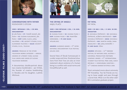

# **CONVERSATIONS WITH FATHER**ROZHOVORY S OTCOM

## **2005 ›‹ betacam ›‹ col. ›‹ 39 min. documentary**

<mark>d:</mark> ján šuda >< **st:** tomáš mazač, ján šuda >< **sc:** zuzana kuglerová, ján ŠUDA <mark>>< DOP:</mark> KAREL SLACH, JURAJ galvánek ›‹ pc: akcentt studio, s.r.o., slovenská televízia <mark>>< **sales:** akcentt</mark> studio, s.r.o., telexim

awards: premium in the othertelevision works category – annualawards of literary fund, slovak film union and union of slovaktelevision workers

A documentary double-portrait abouttwo creative bookbinders – Jan Vrtílek,the founder of creative bookbinding in Slovakia and his daughter, LudmilaMlichová.



# **THE CRYING OF ANGELS**ANJELI PLAČÚ

#### **2005 ›‹ digi betacam ›‹ col. ›‹ 54 min. documentary**

**D:** ZUZANA PIUSSI >< **SC:** ZUZANA PIUSSI >< DOP: ZUZANA PIUSSI <mark>>< ED:</mark> FRANTIŠEK krähenbiel ›‹ pc and sales: atelier.doc

**AWARDS:** AUDIENCE AWARD – 9<sup>TH</sup> INTERnational documentary film festivaljihlava 2005

Several fates of Slovak homosexuals in <sup>a</sup> wider scope and time. Emotional situations from their lives are also an innerstatement about existence of a human being in a conflict with social norms andhimself/herself as well.



**FAT FATAL**FAT FATAL

#### **2005 ›‹ 35 mm ›‹ col. ›‹ 5 min. 36 sec. animation**

**d:** michaela čopíková <mark>>< sc:</mark> michaela čopíková, alžbeta kristeľová >< **dop:** michaela čopíková <mark>>< anim:</mark> michaela čopíková >< **mu:** martin hasák, dana mazalová >< **ed:** Juraj monošík >< pc and sales: všmu

**AWARDS:** DIPLOMA – 34<sup>TH</sup> EBENSEE festival of nations 2006, austria ›‹universal production partnersCOMPANY AWARD –  $6^\mathsf{TH}$  INTERNATIONAL student film festival písek 2006, czechrepublic ›‹ honourable mention –14<sup>TH</sup> CINEAMA BANSKÁ BYSTRICA 2006

Short animated movie about extremely FAT friendship. Two fat friends are trying to loose weight and pass through <sup>a</sup> secret hole. What is on the other side? BA in animation graduate project.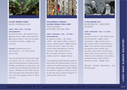

**FLYING WORDS TOWN**MESTO LIETAJÚCICH SLOV

#### **2005 ›‹ dvd ›‹ col. ›‹ 52 min. documentary**

**D:** MARTINA DIOSI >< **SC:** MARTINA DIOSI >< dop: ján meliš ›‹ mu: anton popovič ›‹**ED:** ZUZANA CSÉPLŐ >< **PC:** LÍVIA FILUSOVÁ, slovenská televízia <mark>>< **sales:** l</mark>ívia filusová

awards: nomination for tvDOCUMENTARY – 20<sup>TH</sup> PRIX EUROPA berlin 2006

How can one literary club have an impacton people's lives in a world that worships the fleeting idols of reality shows?Perhaps by offering an alternative and <sup>a</sup> chance to communicate and create real values... Members of the Zvolen Literary Club talk about their attitude to literature and the changing times in whichthey live.



**FOLLOWING A DREAM – SLOVAK DREAM 2004–2006**CESTA ZA SNOM – SLOVENSKÝ SEN 2004–2006

## **2006 ›‹ betacam ›‹ col. ›‹ 46 min. documentary**

**D:** JAROSLAV VOJTEK >< **ST:** MAREK LEŠČÁK >< **SC:** MAREK LEŠČÁK, JAROSLAV vojtek, maroš šlapeta <mark>>< dop:</mark> jaroslav vojtek, ján meliš **›‹ mu:** folk and other songs performed by antonPOPOVIČ >< **ED:** MAROŠ ŠLAPETA >< **pc:** slovenská televízia a vojtek, LEŠČÁK, ŠLAPETA >< **SALES:** TELEXIM

<sup>A</sup> documentary about Slovaks seventeen years after the transformation from socialism to a market economy. Thanks to time-lapse photography [2004–2005], the authors made an original accounton the way we live, what we long for, orwhat we fear most of all.



**<sup>A</sup> FOLLOWING ACT** ĎALŠIE DEJSTVO – KÖVETKEZŐ FELVONÁS

#### **2006 ›‹ betacam ›‹ col. ›‹ 24 min. fiction**

D: MÁTYÁS PRIKLER >< **SC:** MÁRTON KISS, MÁTYÁS PRIKLER <mark>>< DOP:</mark> TOMÁŠ zednikovič >< **mu:** miklós skuta >< **ed:** zuzana cséplő, maroš šlapeta >< cast: attila mokos, xénia molnár, éva bandor, jános derzsi, edit balaskó, lászló nagy, miloš fádlik,tibor fabó, katalin holocsy, istván németh, anita szvrcsek ›‹ pc: natáliaguzikiewiczová, tünde kardos,BRANISLAV PETRÍK >< **SALES:** VŠMU

Monday, Tuesday, Wednesday... andMonday again.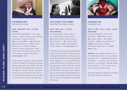

**HOUSEDWELLERS**OBYVATELIA DOMU

#### **2006 ›‹ betacam ›‹ col. ›‹ 28 min. fiction**

D: KRISTÍNA HERCZEGOVÁ <mark>>< ST:</mark> ISTVÁN ÖRKÉNY – SHORT STORIES >< **SC:** KRISTÍNA herczegová, zuzana lišková ›‹ dop: laco janošťák ›‹ mu: ján ančic ›‹<mark>ed:</mark> richard chomo >< **cast:** dušan kaprálik, eva večerová, dušan cinkota, sarah flimmelová, tibor fabó, edita borošová, pavol buocik,ludvig bagin, adriana geričová ›‹ pc and sales: všmu

<sup>A</sup> film based on stories by István Örkény in which we watch the tragic story aboutkilling cakes and their victims. We see the world of "Occupants of the House"through the eyes of a Writer sometime about the end of the 60`s. Fear and irony shake hands in these crazy times andit's hard to find out who calls the tune.



**LET'S SHOOT THAT SUNSET**NATOČME TEN ZÁPAD SLNKA

#### **2005 ›‹ dvd ›‹ col. ›‹ 37 min. documentary**

 d: maroš hečko, daniel rihák ›‹ st: maroš hečko, daniel rihák ›‹ dop: maroš hečko, daniel rihák ›‹**MU:** spaceboys >< **ed:** maroš hečko, DANIEL RIHÁK >< **CAST:** ANDREJ ŠEBAN, tóno kubasák ›‹ pc and sales: azyl

<sup>A</sup> film about two musicians who decided to push the boundaries of Slovak music.It depicts the formation of musical project of Andrej Šeban and Tóno Kubasák,which begins in an unusual prefab house studio and ends as live performance in Klarisky Church which is the final resultof their effort. Their three-year` work isPOLYMUSIC containing many references to some [maybe half-forgotten] traditions of European classical music [e.g.The 2<sup>nd</sup> Vienna School], jazz and Slovak folk music.



# **LIONARDO MIO**LIONARDO MIO

#### **2005 ›‹ 35 mm ›‹ col. ›‹ 6 min. 30 sec. animation**

**d:** Ivana šebestová >< **sc:** Ivana ŠEBESTOVÁ >< **DOP:** PETER HUDÁK >< MU: MAREK PIAČEK >< <mark>ED:</mark> ROBERT karovič <mark>>< **anim:** i</mark>vana šebestová >< voices: matej landl, andrea karnasová, robo roth ›‹ pc and**sales:** všmu

awards: dams award for best film – $8^{TH}$  european festival of film schools, BOLOGNA 2005 > NOMINATION FOR BEST animation – "the sun in net"  $\lceil$ slovak <code>national</code> film <code>award</code>  $\overline{\phantom{a}}\!$  <code>><</code> <code>special</code> award FOR ANIMATION – 17 $^{\sf TH}$  NATIONAL FILM and television awards igric

The truth about the origin of Leonardoda Vinci's famous La Gioconda.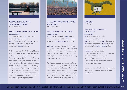

**MEDNYÁNSZKY: PAINTER OF A VANISHED TIME**MEDNYÁNSZKY

#### **2006 ›‹ betacam ›‹ b&w+col. ›‹ 40 min. documentary**

D: VLADIMÍR ŠTRIC >< SC: VLADIMÍR  $\text{\^{STRIC}} \geq \text{\bf DOP:}$  MARTIN GAZÍK  $\text{\gg}$ **mu:** víťazoslav kubička <mark>>< ed:</mark> zuzana CSÉPLŐ >< **PC:** ALEF JO, SLOVENSKÁ televízia ›‹ sales: telexim

<sup>A</sup> documentary about the era, life and works of Ladislav Mednyánszky, a grea<sup>t</sup> and enigmatic Central European painterfrom the turn of the 19<sup>th</sup> and 20<sup>th</sup> centuries. Mednyánszky created an enormousnumber of works, estimated at some 3,000 to 4,000 paintings, drawings, sketches and oil paintings. The significance of this painter extends far beyond the boundaries of Central Europe. He exhibits his works in the same salons asthe world's great impressionists.



**METAMORPHOSES OF THE TATRAMOUNTAINS**PREMENY TATIER

#### **2006 ›‹ betacam ›‹ col. ›‹ 13 min. documentary**

D, SC: PAVOL BARABÁŠ >< DOP: STANO GUŽÁK, PAVOL BARABÁŠ >< **MU:** MICHAL novinski ›‹ pc and sales: k2 studio

awards: prize of teplice nad metují – mhff, teplice nad metují, 2006 ›‹ slovakliterary fund prize – mountains and city, bratislava, 2006 ›‹ special prize of the jury – academia film olomouc,2006 and 7 other prizes

The film talks about man's respect for nature and its ability to renew itself in itsentire complexity and beauty. It also talks about what we all have hidden in oursubconscious; that all of us on this planet form an integral unit, which underliescertain precise natural regularities.



**MONSTER**PRÍŠERA

**2005 ›‹ 35 mm, b&w+col. ›‹ 4 min. 42 sec.animation**

 d: michaela ošťádalová ›‹ sc: michaela ošťádalová ›‹ dop: michal klátik ›‹ mu: ján ančic ›‹ed: viktor poboček ›‹ anim: michaelaošťádalová ›‹ pc and sales: všmu

awards: audience award –

5<sup>TH</sup> SLOVAK FILM FESTIVAL CRAN-GEVRIER, FRANCE  $\geq 2^{\sf ND}$  PLACE ANIMATION  $-$ 14 $^{\sf TH}$  ufva $^{\prime}$ s touring festival of international student film+videonextframe 2006, usa

<sup>A</sup> short movie about a moment, when you discover there is a monster in your own house.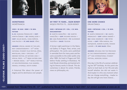

# **MONSTRANCE**MONŠTRANCIA

## **2005 ›‹ 35 mm ›‹ b&<sup>w</sup> ›‹ 16 min. fiction**

D, SC: MARIANA ČENGELOVÁ >< DOP: MARTIN ŽIARAN >< **ED:** ONDREJ AZOR >< cast: milan bahúl, ivana režová, IVAN PALÚCH <mark>>< PC AND SALES:</mark> VŠMU

awards: special award of the jury, BEST CINEMATOGRAPHY – 10<sup>TH</sup> INTERnational student film festival áčko,BRATISLAVA, 2006  $\times$  DIPLOMA - 34<sup>TH</sup> ebensee festival of nations 2006 ›‹SPECIAL PRIZE – 47<sup>TH</sup> BRNO SIXTEEN 2006  $\approx$  BRONZE MEDAL – 68 $^{\textsf{TH}}$  WORLD FESTIVAL of non-professional film makers,deaegu, kyiongju, south korea

<sup>A</sup> historical film about the power of dogma and its dominance over people.



**MY FIRST 75 YEARS... EGON BONDY**MOJICH PRVÝCH 75... EGON BONDY

#### **2005 ›‹ betacam sp ›‹ col. ›‹ 52 min. documentary**

D: MARTIN HANZLÍČEK <mark>>< SC:</mark> MARTIN HANZLÍČEK <mark>>< DOP:</mark> RICHARD KRIVDA >< **ed:** ľuba Ďurkovičová <mark>>< pc:</mark> slovenská televízia >< **sales:** telexim

<sup>A</sup> former night-watchman in the National Gallery in Prague. Poet, writer, and philosopher. His works were published in samizdat form for many years and became accessible to the wider public only after 1989. He lived in Prague and Telč, before finally settling in Bratislava. He took Slovak citizenship, and started writing his literary works in Slovak. This documentary is about his career, friends, views on philosophy, etc.



# **ONE MORE CHANCE**DRUHÁ ŠANCA

#### **2005 ›‹ betacam ›‹ col. ›‹ 15 min. fiction**

**D:** MARTA FERENCOVÁ >< **SC:** MARTA FERENCOVÁ >< **DOP:** MÁRIO ONDRIŠ >< **MU:** HANA HEGEROVÁ >< **ED:** PETER kovaľ >< **cast:** táňa radeva, eva matejková, marián slovák, romanluknár ›‹ pc and sales: všmu

awards: diploma for the precisionof the cinematographic language –25<sup>TH</sup> VGIK INTERNATIONAL STUDENT festival, moscow, russia

One day in the life of a woman celebrating her 50<sup>th</sup> birthday. At this point she starts to look back on her life and asksherself whether she did not waste it.And maybe it is this very moment when she can change everything... maybe today she will get one more chance...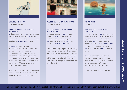

**ONE PIG'S DESTINY**OSUD PRASIATKA

## **2005 ›‹ betacam ›‹ col. ›‹ 5 min. animation**

**d:** šimon matrka >< **sc:** šimon matrka, KATARÍNA MINICHOVÁ <mark>>< **DOP:** MICHAL</mark> klátik ›‹ mu: gabo dušík ›‹ ed: michalKRAJŇÁK <mark>>< PC AND SALES:</mark> VŠMU

awards: special mention –  $34^{\textsf{TH}}$  ebensee festival of nations 2006  $\times$ special award for animation – 17 $^{\sf TH}$  NATIONAL FILM AND TELEVISION awards igric, bratislava, slovakia ›‹<code>HONOURABLE</code> MENTION  $-$  14  $^{\rm{TH}}$  CINEAMA banská bystrica 2006 ›‹ honourableMENTION  $-$  34 $^{\sf TH}$  ebensee festival of nations 2006, austria

<sup>A</sup> story about a <sup>p</sup>iglet, about man's ignorance, and the true about life. BA inanimated film graduate project.



**PEOPLE BY THE RAILWAY TRACK**ĽUDIA NA TRATI

## **2006 ›‹ betacam ›‹ col. ›‹ 26 min. documentary**

**d:** ARNOLD KOJNOK >< **SC:** ARNOLD kojnok >< **dop:** tomáš benedikovič, martin marek, arnold kojnok ›‹ **MU:** MARTIN FAČKOVEC <mark>>< ED:</mark> PAVOL palárik ›‹ pc and sales: všmu

The documentary People by the Railway Track is a group portrait, the protagonists of which are people living by a deserted railway track in the south of Central Slovakia. It is a film reflecting the present "state of things" in confrontationwith the past.



**PIK AND NIK**PIK A NIK

## **2006 ›‹ 35 mm ›‹ col. ›‹ 5 min. animation**

D: MARTIN SNOPEK >< <mark>SC:</mark> MARTIN SNOPEK, PATRIK PAŠŠ JR. <mark>>< **DOP:** P</mark>ETER HUDÁK >< M<mark>U:</mark> PETER TARKAY >< **ED:** BARBORA paššová >< **anim:** ivana šebestová, martin snopek ›‹ character voices:róbert roth, zuzana polonská ›‹ PC: MARTIN SNOPEK >< <mark>SALES:</mark> MARTIN snopek

**AWARDS:** 1ST PLACE  $-$  14<sup>TH</sup> CINEAMA BANSKÁ BYSTRICA 2006 >< 1<sup>ST</sup> PLACE – FESTIVAL OF 1 MINUTE $^{\prime}$ S AND 5 MINUTES $^{\prime}$ FILMS AZYL 2006  $\times$  5<sup>TH</sup> PLACE  $-$ 34<sup>TH</sup> EBENSEE FESTIVAL OF NATIONS

Three friends on a trip to the sea.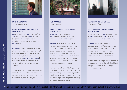

# **PORNOROMANCE**PORNOROMANTIK

## **2005 ›‹ betacam ›‹ col. ›‹ 23 min. documentary**

D: PETER BEGÁNYI >< <mark>SC:</mark> PETER BEGÁNYI >< dop: mário ondriš ›‹ mu: vladoŠARIŠSKÝ >< **ED:** VIKTOR CSUDAI >< **PC:** VŠMU, DEE BEOBACHTER GRUPE >< **sales:** všmu

**AWARDS:**  $1^{ST}$  PRIZE FOR DOCUMENTARY – 3<sup>rd</sup> student film event <sup>"</sup>zlínsky pes<sup>"</sup>, zlín, czech republic ›‹ prize of theclub of film journalist of ssn [e.a.WITH THE FILM **KURVA >< THE WHORE**  $\big]$  – 10TH INTERNATIONAL STUDENT FILM festival áčko, bratislava, slovakrepublic 2006

PornoRomance is a story of a young student who tries to follow his dream... It'sto become a porn actor. MA in documentary film graduate project.



**PURURAMBO**PURURAMBO

**2005 ›‹ betacam ›‹ col. ›‹ 54 min. documentary**D, SC, DOP: PAVOL BARABÁŠ >< **MU:** MICHAL NOVINSKI >< **ED:** MATEJ beneš ›‹ pc and sales: k2 studio

awards: audience award – imff, poprad, slovakia, 2005 ›‹ best film –GO KAMERA, BRNO, 2006  $\times$  2<sup>ND</sup> PRIZE – camera slovakia, bratislava 2006 ›‹slovak film critics prize 2006 ›‹adventura prize – man and the environment, montreal internationaladventure film festival, 2006 and 14 other awards and prizes

New Guinea is the world's largest tropical island. In a labyrinth of dark swamps, people live high in the trees, in primitive conditions that have changed little since the Stone Age. Entering their territoryis a dangerous adventure.



# **SEARCHING FOR A DREAM**HĽADANIE ILÚZIÍ

#### **2005 ›‹ betacam ›‹ col. ›‹ 20 min. documentary**

**D:** SAHRAA KARIMI >< **SC:** SAHRAA KARIMI ›‹ dop: tomáš sabo ›‹ ed: simonavallovičová ›‹ pc and sales: všmu

**AWARDS:**  $2^{ND}$  PLACE – STUDENT DOCUMENTARY – 22<sup>ND</sup> FESTIVAL FEMINA film ústí nad labem 2005 ›‹ goldmikeldi for documentary film – 47<sup>TH</sup> BILBAO INTERNATIONAL FESTIVAL of documentary and short films

<sup>A</sup> story about a single phone booth in <sup>a</sup> refugee camp and the relationship of refugees towards it. Reflecting the lifein a refugee camp.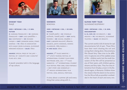

**SHIMMY YEAH**ŠIMIJÉ

## **2005 ›‹ betacam ›‹ col. ›‹ 5 min. fiction**

D: MARIANA ČENGELOVÁ >< <mark>SC:</mark> MARIANA čengelová >< **dop:** laco janošťák >< MU: KONTRAFAKT >< <mark>ED:</mark> RICHARD CHOMO >< CAST: CSONGOR KASSAI, STANO dančiak <mark>>< pc:</mark> všmu in association with magic seven slovakia, slovenskéNÁRODNÉ MÚZEUM <mark>>< **SALES:** VŠ</mark>MU

awards: special prize of the jury –FESTIVAL OF 1 MINUTE $^{\prime}$ S AND 5 MINUTES $^{\prime}$ films azyl 2006

<sup>A</sup> Jewish anecdote told in the languageof rap culture.



# **SIDEWAYS**BOKOVKA

## **2005 ›‹ betacam ›‹ col. ›‹ 28 min. fiction**

**d:** tomáš jančo <mark>>< sc:</mark> stanislav GUŠTAFÍK, TOMÁŠ JANČO <mark>>< DOP:</mark> MATEJ šomrák >< **ed:** michal krajňák >< **cast:** Ľubomír paulovič, přemysl boublík, judita hansman, monikahilmerová, táňa radeva ›‹ **PC AND SALES:** VŠMU

**AWARDS:**  $2^{ND}$  PLACE NARATIVE – 14 $^{\sf TH}$  ufva $^{\prime}$ s touring festival of international student film+videoNEXTFRAME 2006, USA >< 1ST PLACE <code>NARRATIVE</code> –  $6^{\text{TH}}$  international student film festival písek 2006, czech republic›‹ best story and screenplay – 3<sup>rd</sup> AROUCA INTERNATIONAL FILM festival 2006, arouca, portugal

<sup>A</sup> story about a summer job and everything that comes along with it...



**SLOVAK FAIRY TALES**SLOVENSKÉ ROZPRÁVKY

## **2005 ›‹ betacam ›‹ col. ›‹ 24 min. documentary**

D<mark>, SC, DOP, ED:</mark> IVO BRACHTL <mark>>< MU</mark>: archive ›‹ pc: ivo brachtl, slovenskátelevízia >< **sales:** ivo brachtl

The current world is full of stories for sad documentaries full of pain. These filmshave their merit showing the evil and wrong that is being done. Documentary film Slovak Fairy Tales tries to be different. It captures one of the saddest areasof life – children work, but the small characters of the film will be presented asany of their peers, with children games, dreams and fairy tales. They live sixty kilometres from Oradea a town in the Bodonoš region, in Romania. Children show the viewers that the desire to live and to live the life as fully as possible is embedded in the heart of each and every one.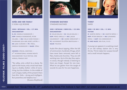

# **SOŇA AND HER FAMILY**<sup>O</sup> SONI A JEJ RODINE

#### **2006 ›‹ betacam ›‹ col. ›‹ 37 min. documentary**

D, SC: DANIELA RUSNOKOVÁ >< dop: daniela rusnoková, peterzalubel ›‹ mu: cello goes romas – phurikane giľa and jozef lupták ›‹ed: jana vlčková ›‹ pc: všmu, DANIELA RUSNOKOVÁ >< **SALES:** VŠMU

awards: special mention – 9<sup>TH</sup> INTERNATIONAL HUMAN RIGHTS documentary film festival oneworld, prague 2007

"No valley, only a ditch by a dump. No path to the house, only a mud track leading to a shabby shelter. Little of everything, but the children. In the middle ofsuch a Gypsy reality of the present there lives Mrs. Soňa – strong and intelligent.But powerless and helpless too."

[Zuzana Mojžišová]



**STANDARD BASTARD**STANDARD BASTARD

#### **2005 ›‹ betacam ›‹ b&w+col. ›‹ 25 min. documentary**

D: MILAN BALOG >< SC: MILAN BALOG >< dop: perce oreille ›‹ mu: jakubHAUSKRECHT >< **ED:** MAREK KRÁĽOVSKÝ >< pc: slovenská televízia bratislava ›‹sales: telexim

Audio film about tapping. After the fallof communism, hundreds of bugs, which have never been removed, were left in flats, hotels and churches. They are stillworking now. Up to this day they capture voices, though nobody is listening to them any longer. Except for one man.What he can gather from the tangle ofsounds he uses for his own happiness.



**THIRST**SMÄD

#### **2006 ›‹ 35 mm ›‹ col. ›‹ 5 min. fiction**

D: MARTIN REPKA >< SC: MARTIN REPKA >< dop: peter bencsik ›‹ mu: johannesREPKA >< CAST: EVA KEREKESOVÁ >< pc and sales: sen film, s.r.o.

<sup>A</sup> young nun appears in a waiting crowd at an old railway station she is very thirsty. Thirst makes her surpass herselfand a small miracle happens.

**<**

>54< excerpt from "Slovak Films 05 - 07", published by Slovak Film Institute in April 2007, full version available at www.aic.sk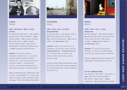

# **T-SHIRT**TRIČKO

## **2006 ›‹ betacam ›‹ b&<sup>w</sup> ›‹ 9 min. fiction**

D: HOSSEIN MARTIN FAZELI >< SC: HOSSEIN martin fazeli, biba bohinská ›‹ dop:TOMÁŠ STANEK >< **MU:** ZUZANA STIRSKÁ >< **ED:** MATEJ BENEŠ >< **CAST:** MARIÁN MITAŠ, ANDREJ KOVÁČ >< **PC:** HEYDAY independent, forward international›‹ sales: forward international

awards: youth jury award –clermont-ferrand 2007 ›‹ can 2006golden monkey award for bestscreenplay – can 2006 leicester isff ›‹audience award – l'alternativa--festival de cinema independent debarcelona 2006 and 11 other awards

Mark is half-American, half-Slovak. And he has a strong belief. In a trip to Slovakia he meets a shop assistant, who's wearing a T-shirt that offends his beliefs.



# **THE WHORE**KURVA

# **2006 ›‹ dvd ›‹ col. ›‹ 50 min. documentary**

D: SAMUEL JAŠKO >< <mark>SC:</mark> SAMUEL JAŠKO >< dop: dano nosek, filip hanko ›‹ **MU:** MARTIN KLEINMICHEL >< **ED:** SAMUEL jaško ›‹ pc and sales: všmu

awards: prize of the club of film journalist of ssn [e.a. with the film $\tt{PORNOROMANTIK} \times \t{PORNOROMANCE}$  – 10<sup>TH</sup> INTERNATIONAL STUDENT FILM festival áčko, bratislava, slovakrepublic 2006

<sup>A</sup> documentary about a Bratislava street prostitute, frank and sincere confessionof a woman who said: "I want people to see how I live".



**WOOLF**WOOLF

## **2006 ›‹ dvd ›‹ col. ›‹ 5 min. animation**

D<mark>:</mark> JURAJ KUBINEC >< **SC:** JURAJ KUBINEC >< **MU:** BEZMOCNÁ HŔSTKA, DOUBLE AFFAIR, HOME MADE MUTANT >< **ED:** JURAJ kubinec ›‹ anim: juraj kubinec ›‹ **PC AND SALES:** VŠMU

**AWARDS:** 2<sup>nd</sup> place  $[$ lous de prat  $\texttt{AWARD} \big] - 3^{\texttt{RD}}$  arouca international film festival 2006, arouca, portugal

About a sheep whose wool maybe isn't absolutely a hundred per cent wool.

#### **list of abbreviations**

**D:** DIRECTOR  $\times$  ST: STORY  $\times$  SC: SCRIPT  $\times$ DOP: DIRECTOR OF PHOTOGRAPHY >< ed: editor ›‹ mu: music ›‹ anim: ANIMATION >< **PC:** PRODUCTION COMPANY

>55<excerpt from "Slovak Films 05 - 07", published by Slovak Film Institute in April 2007, full version available at www.aic.sk